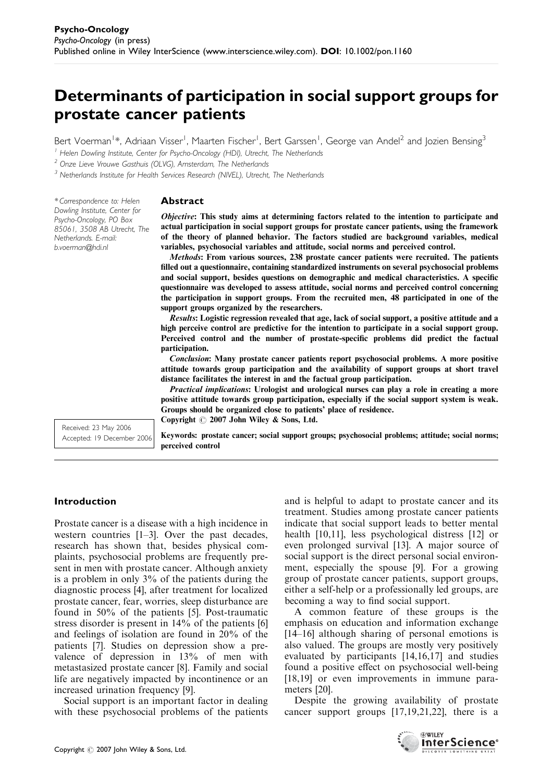# Determinants of participation in social support groups for prostate cancer patients

Bert Voerman<sup>1</sup>\*, Adriaan Visser<sup>1</sup>, Maarten Fischer<sup>1</sup>, Bert Garssen<sup>1</sup>, George van Andel<sup>2</sup> and Jozien Bensing<sup>3</sup>

<sup>1</sup> Helen Dowling Institute, Center for Psycho-Oncology (HDI), Utrecht, The Netherlands

<sup>2</sup> Onze Lieve Vrouwe Gasthuis (OLVG), Amsterdam, The Netherlands

<sup>3</sup> Netherlands Institute for Health Services Research (NIVEL), Utrecht, The Netherlands

\* Correspondence to: Helen Dowling Institute, Center for Psycho-Oncology, PO Box 85061, 3508 AB Utrecht, The Netherlands. E-mail: b.voerman@hdi.nl

#### Abstract

Objective: This study aims at determining factors related to the intention to participate and actual participation in social support groups for prostate cancer patients, using the framework of the theory of planned behavior. The factors studied are background variables, medical variables, psychosocial variables and attitude, social norms and perceived control.

Methods: From various sources, 238 prostate cancer patients were recruited. The patients filled out a questionnaire, containing standardized instruments on several psychosocial problems and social support, besides questions on demographic and medical characteristics. A specific questionnaire was developed to assess attitude, social norms and perceived control concerning the participation in support groups. From the recruited men, 48 participated in one of the support groups organized by the researchers.

Results: Logistic regression revealed that age, lack of social support, a positive attitude and a high perceive control are predictive for the intention to participate in a social support group. Perceived control and the number of prostate-specific problems did predict the factual participation.

Conclusion: Many prostate cancer patients report psychosocial problems. A more positive attitude towards group participation and the availability of support groups at short travel distance facilitates the interest in and the factual group participation.

Practical implications: Urologist and urological nurses can play a role in creating a more positive attitude towards group participation, especially if the social support system is weak. Groups should be organized close to patients' place of residence.

Copyright  $\odot$  2007 John Wiley & Sons, Ltd.

Received: 23 May 2006 Accepted: 19 December 2006

Keywords: prostate cancer; social support groups; psychosocial problems; attitude; social norms; perceived control

## Introduction

Prostate cancer is a disease with a high incidence in western countries [1–3]. Over the past decades, research has shown that, besides physical complaints, psychosocial problems are frequently present in men with prostate cancer. Although anxiety is a problem in only 3% of the patients during the diagnostic process [4], after treatment for localized prostate cancer, fear, worries, sleep disturbance are found in 50% of the patients [5]. Post-traumatic stress disorder is present in 14% of the patients [6] and feelings of isolation are found in 20% of the patients [7]. Studies on depression show a prevalence of depression in 13% of men with metastasized prostate cancer [8]. Family and social life are negatively impacted by incontinence or an increased urination frequency [9].

Social support is an important factor in dealing with these psychosocial problems of the patients and is helpful to adapt to prostate cancer and its treatment. Studies among prostate cancer patients indicate that social support leads to better mental health [10,11], less psychological distress [12] or even prolonged survival [13]. A major source of social support is the direct personal social environment, especially the spouse [9]. For a growing group of prostate cancer patients, support groups, either a self-help or a professionally led groups, are becoming a way to find social support.

A common feature of these groups is the emphasis on education and information exchange [14–16] although sharing of personal emotions is also valued. The groups are mostly very positively evaluated by participants [14,16,17] and studies found a positive effect on psychosocial well-being [18,19] or even improvements in immune parameters [20].

Despite the growing availability of prostate cancer support groups [17,19,21,22], there is a

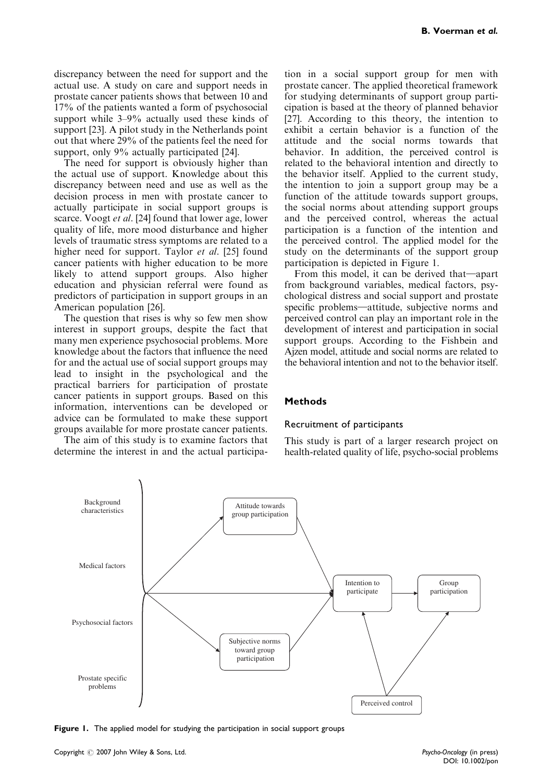discrepancy between the need for support and the actual use. A study on care and support needs in prostate cancer patients shows that between 10 and 17% of the patients wanted a form of psychosocial support while 3–9% actually used these kinds of support [23]. A pilot study in the Netherlands point out that where 29% of the patients feel the need for support, only 9% actually participated [24].

The need for support is obviously higher than the actual use of support. Knowledge about this discrepancy between need and use as well as the decision process in men with prostate cancer to actually participate in social support groups is scarce. Voogt et al. [24] found that lower age, lower quality of life, more mood disturbance and higher levels of traumatic stress symptoms are related to a higher need for support. Taylor *et al.* [25] found cancer patients with higher education to be more likely to attend support groups. Also higher education and physician referral were found as predictors of participation in support groups in an American population [26].

The question that rises is why so few men show interest in support groups, despite the fact that many men experience psychosocial problems. More knowledge about the factors that influence the need for and the actual use of social support groups may lead to insight in the psychological and the practical barriers for participation of prostate cancer patients in support groups. Based on this information, interventions can be developed or advice can be formulated to make these support groups available for more prostate cancer patients.

The aim of this study is to examine factors that determine the interest in and the actual participation in a social support group for men with prostate cancer. The applied theoretical framework for studying determinants of support group participation is based at the theory of planned behavior [27]. According to this theory, the intention to exhibit a certain behavior is a function of the attitude and the social norms towards that behavior. In addition, the perceived control is related to the behavioral intention and directly to the behavior itself. Applied to the current study, the intention to join a support group may be a function of the attitude towards support groups, the social norms about attending support groups and the perceived control, whereas the actual participation is a function of the intention and the perceived control. The applied model for the study on the determinants of the support group participation is depicted in Figure 1.

From this model, it can be derived that—apart from background variables, medical factors, psychological distress and social support and prostate specific problems—attitude, subjective norms and perceived control can play an important role in the development of interest and participation in social support groups. According to the Fishbein and Ajzen model, attitude and social norms are related to the behavioral intention and not to the behavior itself.

#### Methods

#### Recruitment of participants

This study is part of a larger research project on health-related quality of life, psycho-social problems



Figure 1. The applied model for studying the participation in social support groups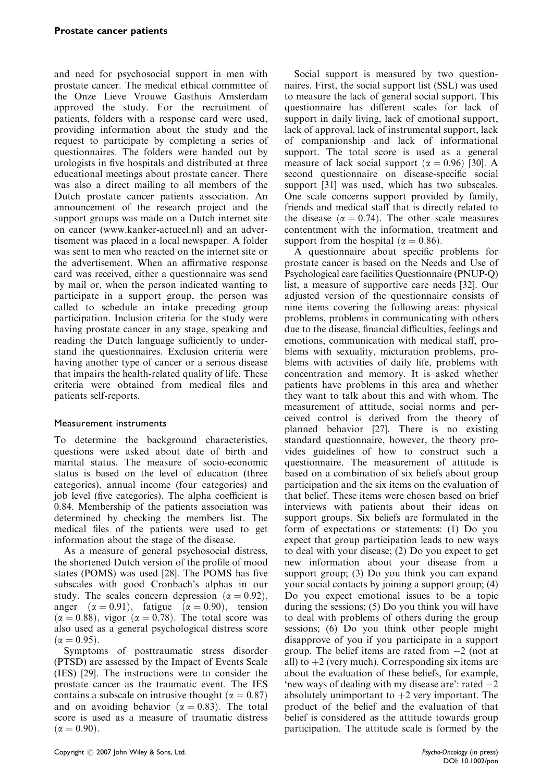and need for psychosocial support in men with prostate cancer. The medical ethical committee of the Onze Lieve Vrouwe Gasthuis Amsterdam approved the study. For the recruitment of patients, folders with a response card were used, providing information about the study and the request to participate by completing a series of questionnaires. The folders were handed out by urologists in five hospitals and distributed at three educational meetings about prostate cancer. There was also a direct mailing to all members of the Dutch prostate cancer patients association. An announcement of the research project and the support groups was made on a Dutch internet site on cancer (www.kanker-actueel.nl) and an advertisement was placed in a local newspaper. A folder was sent to men who reacted on the internet site or the advertisement. When an affirmative response card was received, either a questionnaire was send by mail or, when the person indicated wanting to participate in a support group, the person was called to schedule an intake preceding group participation. Inclusion criteria for the study were having prostate cancer in any stage, speaking and reading the Dutch language sufficiently to understand the questionnaires. Exclusion criteria were having another type of cancer or a serious disease that impairs the health-related quality of life. These criteria were obtained from medical files and patients self-reports.

## Measurement instruments

To determine the background characteristics, questions were asked about date of birth and marital status. The measure of socio-economic status is based on the level of education (three categories), annual income (four categories) and job level (five categories). The alpha coefficient is 0.84. Membership of the patients association was determined by checking the members list. The medical files of the patients were used to get information about the stage of the disease.

As a measure of general psychosocial distress, the shortened Dutch version of the profile of mood states (POMS) was used [28]. The POMS has five subscales with good Cronbach's alphas in our study. The scales concern depression  $(\alpha = 0.92)$ , anger  $(\alpha = 0.91)$ , fatigue  $(\alpha = 0.90)$ , tension  $\alpha = 0.88$ , vigor  $\alpha = 0.78$ . The total score was also used as a general psychological distress score  $\alpha = 0.95$ .

Symptoms of posttraumatic stress disorder (PTSD) are assessed by the Impact of Events Scale (IES) [29]. The instructions were to consider the prostate cancer as the traumatic event. The IES contains a subscale on intrusive thought ( $\alpha = 0.87$ ) and on avoiding behavior ( $\alpha = 0.83$ ). The total score is used as a measure of traumatic distress  $\alpha = 0.90$ .

Social support is measured by two questionnaires. First, the social support list (SSL) was used to measure the lack of general social support. This questionnaire has different scales for lack of support in daily living, lack of emotional support, lack of approval, lack of instrumental support, lack of companionship and lack of informational support. The total score is used as a general measure of lack social support ( $\alpha = 0.96$ ) [30]. A second questionnaire on disease-specific social support [31] was used, which has two subscales. One scale concerns support provided by family, friends and medical staff that is directly related to the disease  $(\alpha = 0.74)$ . The other scale measures contentment with the information, treatment and support from the hospital ( $\alpha = 0.86$ ).

A questionnaire about specific problems for prostate cancer is based on the Needs and Use of Psychological care facilities Questionnaire (PNUP-Q) list, a measure of supportive care needs [32]. Our adjusted version of the questionnaire consists of nine items covering the following areas: physical problems, problems in communicating with others due to the disease, financial difficulties, feelings and emotions, communication with medical staff, problems with sexuality, micturation problems, problems with activities of daily life, problems with concentration and memory. It is asked whether patients have problems in this area and whether they want to talk about this and with whom. The measurement of attitude, social norms and perceived control is derived from the theory of planned behavior [27]. There is no existing standard questionnaire, however, the theory provides guidelines of how to construct such a questionnaire. The measurement of attitude is based on a combination of six beliefs about group participation and the six items on the evaluation of that belief. These items were chosen based on brief interviews with patients about their ideas on support groups. Six beliefs are formulated in the form of expectations or statements: (1) Do you expect that group participation leads to new ways to deal with your disease; (2) Do you expect to get new information about your disease from a support group; (3) Do you think you can expand your social contacts by joining a support group; (4) Do you expect emotional issues to be a topic during the sessions; (5) Do you think you will have to deal with problems of others during the group sessions; (6) Do you think other people might disapprove of you if you participate in a support group. The belief items are rated from  $-2$  (not at all) to  $+2$  (very much). Corresponding six items are about the evaluation of these beliefs, for example, 'new ways of dealing with my disease are': rated  $-2$ absolutely unimportant to  $+2$  very important. The product of the belief and the evaluation of that belief is considered as the attitude towards group participation. The attitude scale is formed by the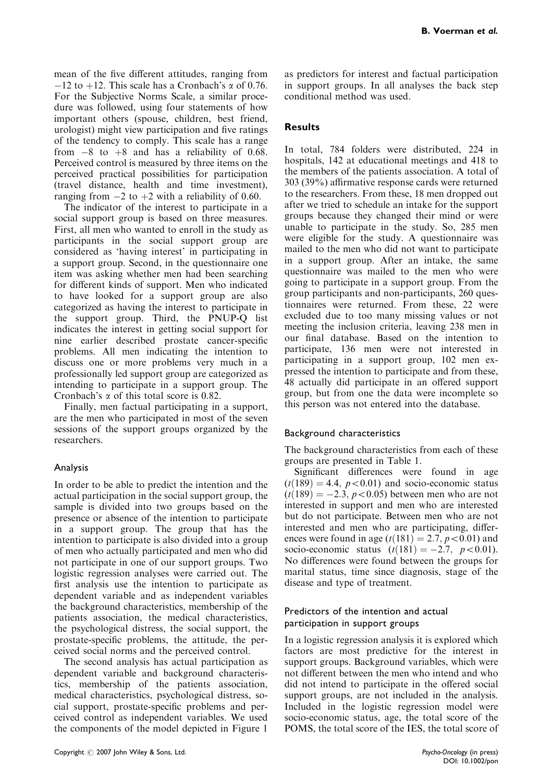mean of the five different attitudes, ranging from  $-12$  to  $+12$ . This scale has a Cronbach's  $\alpha$  of 0.76. For the Subjective Norms Scale, a similar procedure was followed, using four statements of how important others (spouse, children, best friend, urologist) might view participation and five ratings of the tendency to comply. This scale has a range from  $-8$  to  $+8$  and has a reliability of 0.68. Perceived control is measured by three items on the perceived practical possibilities for participation (travel distance, health and time investment), ranging from  $-2$  to  $+2$  with a reliability of 0.60.

The indicator of the interest to participate in a social support group is based on three measures. First, all men who wanted to enroll in the study as participants in the social support group are considered as 'having interest' in participating in a support group. Second, in the questionnaire one item was asking whether men had been searching for different kinds of support. Men who indicated to have looked for a support group are also categorized as having the interest to participate in the support group. Third, the PNUP-Q list indicates the interest in getting social support for nine earlier described prostate cancer-specific problems. All men indicating the intention to discuss one or more problems very much in a professionally led support group are categorized as intending to participate in a support group. The Cronbach's  $\alpha$  of this total score is 0.82.

Finally, men factual participating in a support, are the men who participated in most of the seven sessions of the support groups organized by the researchers.

## Analysis

In order to be able to predict the intention and the actual participation in the social support group, the sample is divided into two groups based on the presence or absence of the intention to participate in a support group. The group that has the intention to participate is also divided into a group of men who actually participated and men who did not participate in one of our support groups. Two logistic regression analyses were carried out. The first analysis use the intention to participate as dependent variable and as independent variables the background characteristics, membership of the patients association, the medical characteristics, the psychological distress, the social support, the prostate-specific problems, the attitude, the perceived social norms and the perceived control.

The second analysis has actual participation as dependent variable and background characteristics, membership of the patients association, medical characteristics, psychological distress, social support, prostate-specific problems and perceived control as independent variables. We used the components of the model depicted in Figure 1

as predictors for interest and factual participation in support groups. In all analyses the back step conditional method was used.

## Results

In total, 784 folders were distributed, 224 in hospitals, 142 at educational meetings and 418 to the members of the patients association. A total of 303 (39%) affirmative response cards were returned to the researchers. From these, 18 men dropped out after we tried to schedule an intake for the support groups because they changed their mind or were unable to participate in the study. So, 285 men were eligible for the study. A questionnaire was mailed to the men who did not want to participate in a support group. After an intake, the same questionnaire was mailed to the men who were going to participate in a support group. From the group participants and non-participants, 260 questionnaires were returned. From these, 22 were excluded due to too many missing values or not meeting the inclusion criteria, leaving 238 men in our final database. Based on the intention to participate, 136 men were not interested in participating in a support group, 102 men expressed the intention to participate and from these, 48 actually did participate in an offered support group, but from one the data were incomplete so this person was not entered into the database.

## Background characteristics

The background characteristics from each of these groups are presented in Table 1.

Significant differences were found in age  $(t(189) = 4.4, p<0.01)$  and socio-economic status  $(t(189) = -2.3, p < 0.05)$  between men who are not interested in support and men who are interested but do not participate. Between men who are not interested and men who are participating, differences were found in age  $(t(181) = 2.7, p<0.01)$  and socio-economic status  $(t(181) = -2.7, p < 0.01)$ . No differences were found between the groups for marital status, time since diagnosis, stage of the disease and type of treatment.

## Predictors of the intention and actual participation in support groups

In a logistic regression analysis it is explored which factors are most predictive for the interest in support groups. Background variables, which were not different between the men who intend and who did not intend to participate in the offered social support groups, are not included in the analysis. Included in the logistic regression model were socio-economic status, age, the total score of the POMS, the total score of the IES, the total score of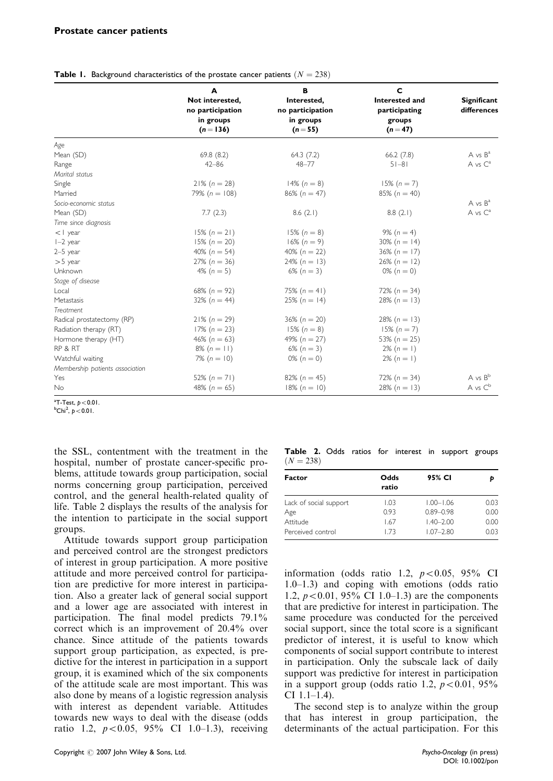|                                 | A<br>Not interested,                       | В<br>Interested,                            | $\mathbf c$<br>Interested and       | <b>Significant</b><br>differences |
|---------------------------------|--------------------------------------------|---------------------------------------------|-------------------------------------|-----------------------------------|
|                                 | no participation<br>in groups<br>$(n=136)$ | no participation<br>in groups<br>$(n = 55)$ | participating<br>groups<br>$(n=47)$ |                                   |
| Age                             |                                            |                                             |                                     |                                   |
| Mean (SD)                       | 69.8 (8.2)                                 | 64.3(7.2)                                   | 66.2(7.8)                           | A vs B <sup>a</sup>               |
| Range                           | $42 - 86$                                  | $48 - 77$                                   | $51 - 81$                           | A vs $C^a$                        |
| Marital status                  |                                            |                                             |                                     |                                   |
| Single                          | $21\% (n = 28)$                            | $14\% (n = 8)$                              | $15\% (n = 7)$                      |                                   |
| Married                         | 79% ( $n = 108$ )                          | $86\%$ (n = 47)                             | 85% $(n = 40)$                      |                                   |
| Socio-economic status           |                                            |                                             |                                     | A vs $B^a$                        |
| Mean (SD)                       | 7.7(2.3)                                   | 8.6(2.1)                                    | 8.8(2.1)                            | A vs $C^a$                        |
| Time since diagnosis            |                                            |                                             |                                     |                                   |
| $<$   year                      | $15\%$ (n = 21)                            | $15\% (n = 8)$                              | $9\%$ (n = 4)                       |                                   |
| $I-2$ year                      | $15\%$ (n = 20)                            | $16\% (n = 9)$                              | 30% ( $n = 14$ )                    |                                   |
| $2-5$ year                      | 40% ( $n = 54$ )                           | 40% ( $n = 22$ )                            | $36\% (n = 17)$                     |                                   |
| $>5$ year                       | $27\%$ (n = 36)                            | $24\%$ (n = 13)                             | $26\%$ (n = 12)                     |                                   |
| Unknown                         | 4% $(n = 5)$                               | $6\% (n = 3)$                               | 0% $(n = 0)$                        |                                   |
| Stage of disease                |                                            |                                             |                                     |                                   |
| Local                           | 68% $(n = 92)$                             | 75% $(n = 41)$                              | $72\%$ (n = 34)                     |                                   |
| Metastasis                      | 32% ( $n = 44$ )                           | $25\%$ (n = 14)                             | $28\%$ (n = 13)                     |                                   |
| Treatment                       |                                            |                                             |                                     |                                   |
| Radical prostatectomy (RP)      | $21\% (n = 29)$                            | $36\%$ (n = 20)                             | $28\%$ (n = 13)                     |                                   |
| Radiation therapy (RT)          | $17\%$ (n = 23)                            | $15\% (n = 8)$                              | $15\% (n = 7)$                      |                                   |
| Hormone therapy (HT)            | 46% $(n = 63)$                             | 49% $(n = 27)$                              | 53% ( $n = 25$ )                    |                                   |
| RP & RT                         | $8\%$ (n = 11)                             | 6% $(n = 3)$                                | $2\%$ (n = 1)                       |                                   |
| Watchful waiting                | 7% $(n = 10)$                              | $0\%$ $(n = 0)$                             | $2\%$ (n = 1)                       |                                   |
| Membership patients association |                                            |                                             |                                     |                                   |
| Yes                             | 52% $(n = 71)$                             | 82% ( $n = 45$ )                            | $72\%$ (n = 34)                     | A vs B <sup>b</sup>               |
| <b>No</b>                       | 48% $(n = 65)$                             | $18\% (n = 10)$                             | $28\%$ (n = 13)                     | A vs $C^b$                        |

|  |  | <b>Table 1.</b> Background characteristics of the prostate cancer patients ( $N = 238$ ) |  |  |  |  |  |  |
|--|--|------------------------------------------------------------------------------------------|--|--|--|--|--|--|
|--|--|------------------------------------------------------------------------------------------|--|--|--|--|--|--|

 $\textdegree$ T-Test,  $p < 0.01$ .

 $^{\rm b}$ Chi<sup>2</sup>, p  $<$  0.01.

the SSL, contentment with the treatment in the hospital, number of prostate cancer-specific problems, attitude towards group participation, social norms concerning group participation, perceived control, and the general health-related quality of life. Table 2 displays the results of the analysis for the intention to participate in the social support groups.

Attitude towards support group participation and perceived control are the strongest predictors of interest in group participation. A more positive attitude and more perceived control for participation are predictive for more interest in participation. Also a greater lack of general social support and a lower age are associated with interest in participation. The final model predicts 79.1% correct which is an improvement of 20.4% over chance. Since attitude of the patients towards support group participation, as expected, is predictive for the interest in participation in a support group, it is examined which of the six components of the attitude scale are most important. This was also done by means of a logistic regression analysis with interest as dependent variable. Attitudes towards new ways to deal with the disease (odds ratio 1.2,  $p < 0.05$ , 95% CI 1.0–1.3), receiving

|             |  |  | Table 2. Odds ratios for interest in support groups |  |  |
|-------------|--|--|-----------------------------------------------------|--|--|
| $(N = 238)$ |  |  |                                                     |  |  |

| Factor                 | Odds<br>ratio | 95% CI        |      |
|------------------------|---------------|---------------|------|
| Lack of social support | 1.03          | $1.00 - 1.06$ | 0.03 |
| Age                    | 0.93          | $0.89 - 0.98$ | 0.00 |
| Attitude               | 1.67          | $1.40 - 2.00$ | 0.00 |
| Perceived control      | L 73          | $1.07 - 2.80$ | 0.03 |

information (odds ratio 1.2,  $p < 0.05$ , 95% CI 1.0–1.3) and coping with emotions (odds ratio 1.2,  $p < 0.01$ , 95% CI 1.0–1.3) are the components that are predictive for interest in participation. The same procedure was conducted for the perceived social support, since the total score is a significant predictor of interest, it is useful to know which components of social support contribute to interest in participation. Only the subscale lack of daily support was predictive for interest in participation in a support group (odds ratio 1.2,  $p < 0.01$ , 95%  $CI$  1.1–1.4).

The second step is to analyze within the group that has interest in group participation, the determinants of the actual participation. For this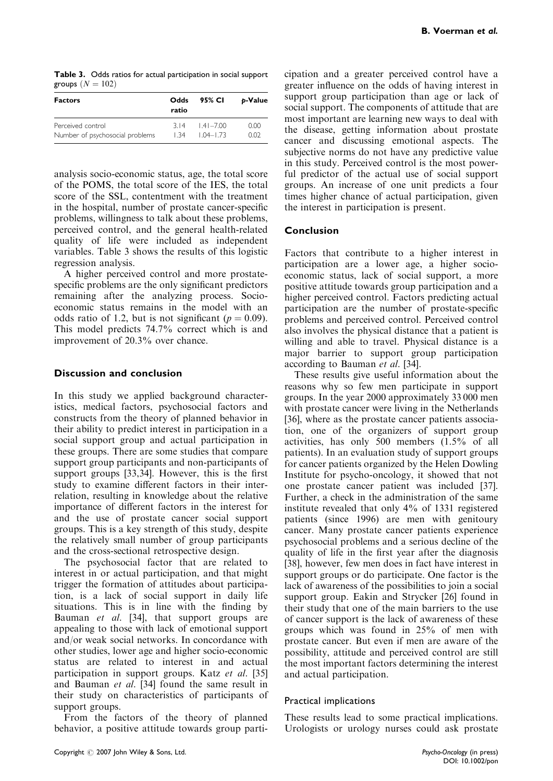Table 3. Odds ratios for actual participation in social support groups  $(N = 102)$ 

| <b>Factors</b>                  | Odds<br>ratio | 95% CI        | <b>b-Value</b> |
|---------------------------------|---------------|---------------|----------------|
| Perceived control               | 314           | $141 - 700$   | 0.00           |
| Number of psychosocial problems | 1.34          | $1.04 - 1.73$ | 0.02           |

analysis socio-economic status, age, the total score of the POMS, the total score of the IES, the total score of the SSL, contentment with the treatment in the hospital, number of prostate cancer-specific problems, willingness to talk about these problems, perceived control, and the general health-related quality of life were included as independent variables. Table 3 shows the results of this logistic regression analysis.

A higher perceived control and more prostatespecific problems are the only significant predictors remaining after the analyzing process. Socioeconomic status remains in the model with an odds ratio of 1.2, but is not significant ( $p = 0.09$ ). This model predicts 74.7% correct which is and improvement of 20.3% over chance.

## Discussion and conclusion

In this study we applied background characteristics, medical factors, psychosocial factors and constructs from the theory of planned behavior in their ability to predict interest in participation in a social support group and actual participation in these groups. There are some studies that compare support group participants and non-participants of support groups [33,34]. However, this is the first study to examine different factors in their interrelation, resulting in knowledge about the relative importance of different factors in the interest for and the use of prostate cancer social support groups. This is a key strength of this study, despite the relatively small number of group participants and the cross-sectional retrospective design.

The psychosocial factor that are related to interest in or actual participation, and that might trigger the formation of attitudes about participation, is a lack of social support in daily life situations. This is in line with the finding by Bauman *et al.* [34], that support groups are appealing to those with lack of emotional support and/or weak social networks. In concordance with other studies, lower age and higher socio-economic status are related to interest in and actual participation in support groups. Katz et al. [35] and Bauman et al. [34] found the same result in their study on characteristics of participants of support groups.

From the factors of the theory of planned behavior, a positive attitude towards group participation and a greater perceived control have a greater influence on the odds of having interest in support group participation than age or lack of social support. The components of attitude that are most important are learning new ways to deal with the disease, getting information about prostate cancer and discussing emotional aspects. The subjective norms do not have any predictive value in this study. Perceived control is the most powerful predictor of the actual use of social support groups. An increase of one unit predicts a four times higher chance of actual participation, given the interest in participation is present.

## Conclusion

Factors that contribute to a higher interest in participation are a lower age, a higher socioeconomic status, lack of social support, a more positive attitude towards group participation and a higher perceived control. Factors predicting actual participation are the number of prostate-specific problems and perceived control. Perceived control also involves the physical distance that a patient is willing and able to travel. Physical distance is a major barrier to support group participation according to Bauman et al. [34].

These results give useful information about the reasons why so few men participate in support groups. In the year 2000 approximately 33 000 men with prostate cancer were living in the Netherlands [36], where as the prostate cancer patients association, one of the organizers of support group activities, has only 500 members (1.5% of all patients). In an evaluation study of support groups for cancer patients organized by the Helen Dowling Institute for psycho-oncology, it showed that not one prostate cancer patient was included [37]. Further, a check in the administration of the same institute revealed that only 4% of 1331 registered patients (since 1996) are men with genitoury cancer. Many prostate cancer patients experience psychosocial problems and a serious decline of the quality of life in the first year after the diagnosis [38], however, few men does in fact have interest in support groups or do participate. One factor is the lack of awareness of the possibilities to join a social support group. Eakin and Strycker [26] found in their study that one of the main barriers to the use of cancer support is the lack of awareness of these groups which was found in 25% of men with prostate cancer. But even if men are aware of the possibility, attitude and perceived control are still the most important factors determining the interest and actual participation.

#### Practical implications

These results lead to some practical implications. Urologists or urology nurses could ask prostate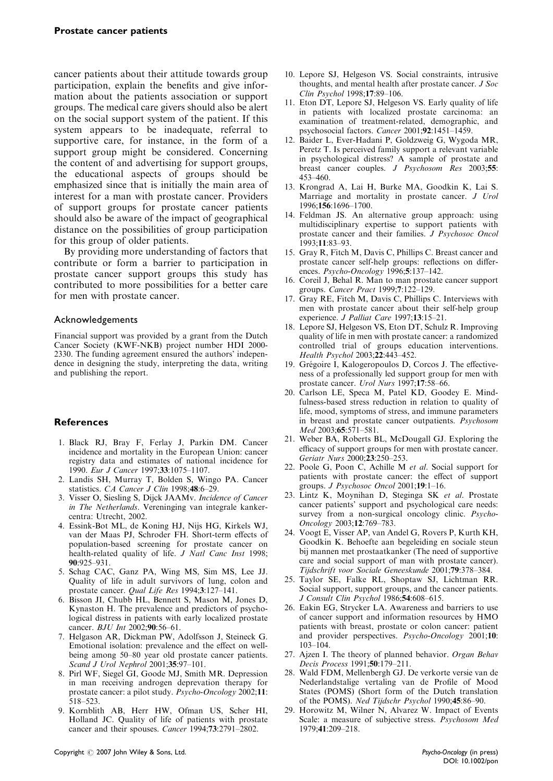cancer patients about their attitude towards group participation, explain the benefits and give information about the patients association or support groups. The medical care givers should also be alert on the social support system of the patient. If this system appears to be inadequate, referral to supportive care, for instance, in the form of a support group might be considered. Concerning the content of and advertising for support groups, the educational aspects of groups should be emphasized since that is initially the main area of interest for a man with prostate cancer. Providers of support groups for prostate cancer patients should also be aware of the impact of geographical distance on the possibilities of group participation for this group of older patients.

By providing more understanding of factors that contribute or form a barrier to participation in prostate cancer support groups this study has contributed to more possibilities for a better care for men with prostate cancer.

#### Acknowledgements

Financial support was provided by a grant from the Dutch Cancer Society (KWF-NKB) project number HDI 2000- 2330. The funding agreement ensured the authors' independence in designing the study, interpreting the data, writing and publishing the report.

## **References**

- 1. Black RJ, Bray F, Ferlay J, Parkin DM. Cancer incidence and mortality in the European Union: cancer registry data and estimates of national incidence for 1990. Eur J Cancer 1997;33:1075–1107.
- 2. Landis SH, Murray T, Bolden S, Wingo PA. Cancer statistics. CA Cancer J Clin 1998;48:6-29.
- 3. Visser O, Siesling S, Dijck JAAMv. Incidence of Cancer in The Netherlands. Vereninging van integrale kankercentra: Utrecht, 2002.
- 4. Essink-Bot ML, de Koning HJ, Nijs HG, Kirkels WJ, van der Maas PJ, Schroder FH. Short-term effects of population-based screening for prostate cancer on health-related quality of life. J Natl Canc Inst 1998; 90:925–931.
- 5. Schag CAC, Ganz PA, Wing MS, Sim MS, Lee JJ. Quality of life in adult survivors of lung, colon and prostate cancer. Qual Life Res 1994;3:127–141.
- 6. Bisson JI, Chubb HL, Bennett S, Mason M, Jones D, Kynaston H. The prevalence and predictors of psychological distress in patients with early localized prostate cancer. BJU Int 2002;90:56–61.
- 7. Helgason AR, Dickman PW, Adolfsson J, Steineck G. Emotional isolation: prevalence and the effect on wellbeing among 50–80 year old prostate cancer patients. Scand J Urol Nephrol 2001;35:97-101.
- 8. Pirl WF, Siegel GI, Goode MJ, Smith MR. Depression in man receiving androgen deprevation therapy for prostate cancer: a pilot study. Psycho-Oncology 2002;11: 518–523.
- 9. Kornblith AB, Herr HW, Ofman US, Scher HI, Holland JC. Quality of life of patients with prostate cancer and their spouses. Cancer 1994;73:2791–2802.
- 10. Lepore SJ, Helgeson VS. Social constraints, intrusive thoughts, and mental health after prostate cancer. J Soc Clin Psychol 1998;17:89–106.
- 11. Eton DT, Lepore SJ, Helgeson VS. Early quality of life in patients with localized prostate carcinoma: an examination of treatment-related, demographic, and psychosocial factors. Cancer 2001;92:1451–1459.
- 12. Baider L, Ever-Hadani P, Goldzweig G, Wygoda MR, Peretz T. Is perceived family support a relevant variable in psychological distress? A sample of prostate and breast cancer couples. J Psychosom Res 2003;55: 453–460.
- 13. Krongrad A, Lai H, Burke MA, Goodkin K, Lai S. Marriage and mortality in prostate cancer. J Urol 1996;156:1696–1700.
- 14. Feldman JS. An alternative group approach: using multidisciplinary expertise to support patients with prostate cancer and their families. J Psychosoc Oncol 1993;11:83–93.
- 15. Gray R, Fitch M, Davis C, Phillips C. Breast cancer and prostate cancer self-help groups: reflections on differences. Psycho-Oncology 1996;5:137–142.
- 16. Coreil J, Behal R. Man to man prostate cancer support groups. Cancer Pract 1999;7:122–129.
- 17. Gray RE, Fitch M, Davis C, Phillips C. Interviews with men with prostate cancer about their self-help group experience. J Palliat Care 1997;13:15-21.
- 18. Lepore SJ, Helgeson VS, Eton DT, Schulz R. Improving quality of life in men with prostate cancer: a randomized controlled trial of groups education interventions. Health Psychol 2003;22:443–452.
- 19. Grégoire I, Kalogeropoulos D, Corcos J. The effectiveness of a professionally led support group for men with prostate cancer. Urol Nurs 1997;17:58–66.
- 20. Carlson LE, Speca M, Patel KD, Goodey E. Mindfulness-based stress reduction in relation to quality of life, mood, symptoms of stress, and immune parameters in breast and prostate cancer outpatients. Psychosom Med 2003;65:571–581.
- 21. Weber BA, Roberts BL, McDougall GJ. Exploring the efficacy of support groups for men with prostate cancer. Geriatr Nurs 2000;23:250–253.
- 22. Poole G, Poon C, Achille M et al. Social support for patients with prostate cancer: the effect of support groups. J Psychosoc Oncol 2001;19:1–16.
- 23. Lintz K, Moynihan D, Steginga SK et al. Prostate cancer patients' support and psychological care needs: survey from a non-surgical oncology clinic. Psycho-Oncology 2003;12:769–783.
- 24. Voogt E, Visser AP, van Andel G, Rovers P, Kurth KH, Goodkin K. Behoefte aan begeleiding en sociale steun bij mannen met prostaatkanker (The need of supportive care and social support of man with prostate cancer). Tijdschrift voor Sociale Geneeskunde 2001;79:378–384.
- 25. Taylor SE, Falke RL, Shoptaw SJ, Lichtman RR. Social support, support groups, and the cancer patients. J Consult Clin Psychol 1986;54:608–615.
- 26. Eakin EG, Strycker LA. Awareness and barriers to use of cancer support and information resources by HMO patients with breast, prostate or colon cancer: patient and provider perspectives. Psycho-Oncology 2001;10: 103–104.
- 27. Ajzen I. The theory of planned behavior. Organ Behav Decis Process 1991;50:179–211.
- 28. Wald FDM, Mellenbergh GJ. De verkorte versie van de Nederlandstalige vertaling van de Profile of Mood States (POMS) (Short form of the Dutch translation of the POMS). Ned Tijdschr Psychol 1990;45:86–90.
- 29. Horowitz M, Wilner N, Alvarez W. Impact of Events Scale: a measure of subjective stress. Psychosom Med 1979;41:209–218.